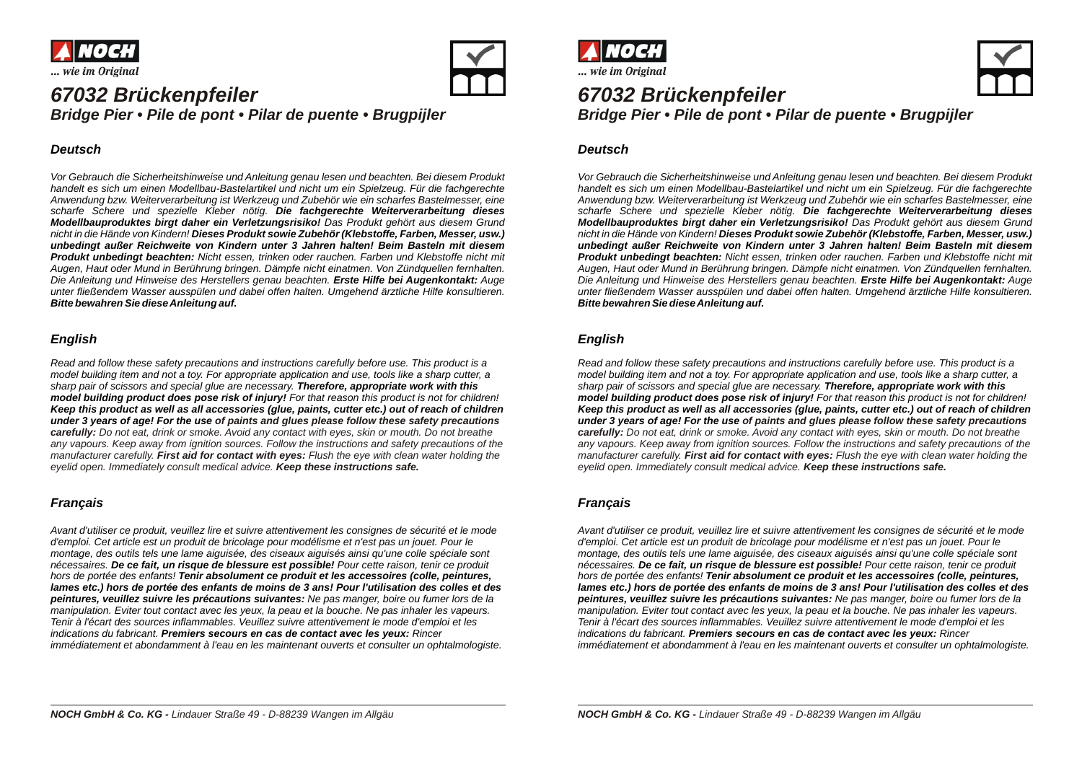



# *67032 Brückenpfeiler*

*Bridge Pier • Pile de pont • Pilar de puente • Brugpijler*

#### *Deutsch*

*Vor Gebrauch die Sicherheitshinweise und Anleitung genau lesen und beachten. Bei diesem Produkt handelt es sich um einen Modellbau-Bastelartikel und nicht um ein Spielzeug. Für die fachgerechte Anwendung bzw. Weiterverarbeitung ist Werkzeug und Zubehör wie ein scharfes Bastelmesser, eine scharfe Schere und spezielle Kleber nötig. Die fachgerechte Weiterverarbeitung dieses Modellbauproduktes birgt daher ein Verletzungsrisiko! Das Produkt gehört aus diesem Grund nicht in die Hände von Kindern! Dieses Produkt sowie Zubehör (Klebstoffe, Farben, Messer, usw.) unbedingt außer Reichweite von Kindern unter 3 Jahren halten! Beim Basteln mit diesem Produkt unbedingt beachten: Nicht essen, trinken oder rauchen. Farben und Klebstoffe nicht mit Augen, Haut oder Mund in Berührung bringen. Dämpfe nicht einatmen. Von Zündquellen fernhalten. Die Anleitung und Hinweise des Herstellers genau beachten. Erste Hilfe bei Augenkontakt: Auge unter fließendem Wasser ausspülen und dabei offen halten. Umgehend ärztliche Hilfe konsultieren. Bitte bewahren Sie diese Anleitung auf.*

### *English*

*Read and follow these safety precautions and instructions carefully before use. This product is a model building item and not a toy. For appropriate application and use, tools like a sharp cutter, a sharp pair of scissors and special glue are necessary. Therefore, appropriate work with this model building product does pose risk of injury! For that reason this product is not for children! Keep this product as well as all accessories (glue, paints, cutter etc.) out of reach of children*  under 3 years of age! For the use of paints and glues please follow these safety precautions *carefully: Do not eat, drink or smoke. Avoid any contact with eyes, skin or mouth. Do not breathe any vapours. Keep away from ignition sources. Follow the instructions and safety precautions of the manufacturer carefully. First aid for contact with eyes: Flush the eye with clean water holding the eyelid open. Immediately consult medical advice. Keep these instructions safe.*

#### *Français*

*Avant d'utiliser ce produit, veuillez lire et suivre attentivement les consignes de sécurité et le mode d'emploi. Cet article est un produit de bricolage pour modélisme et n'est pas un jouet. Pour le montage, des outils tels une lame aiguisée, des ciseaux aiguisés ainsi qu'une colle spéciale sont nécessaires. De ce fait, un risque de blessure est possible! Pour cette raison, tenir ce produit hors de portée des enfants! Tenir absolument ce produit et les accessoires (colle, peintures, lames etc.) hors de portée des enfants de moins de 3 ans! Pour l'utilisation des colles et des peintures, veuillez suivre les précautions suivantes: Ne pas manger, boire ou fumer lors de la manipulation. Eviter tout contact avec les yeux, la peau et la bouche. Ne pas inhaler les vapeurs. Tenir à l'écart des sources inflammables. Veuillez suivre attentivement le mode d'emploi et les indications du fabricant. Premiers secours en cas de contact avec les yeux: Rincer immédiatement et abondamment à l'eau en les maintenant ouverts et consulter un ophtalmologiste.*



# *67032 Brückenpfeiler*



*Bridge Pier • Pile de pont • Pilar de puente • Brugpijler*

#### *Deutsch*

*Vor Gebrauch die Sicherheitshinweise und Anleitung genau lesen und beachten. Bei diesem Produkt handelt es sich um einen Modellbau-Bastelartikel und nicht um ein Spielzeug. Für die fachgerechte Anwendung bzw. Weiterverarbeitung ist Werkzeug und Zubehör wie ein scharfes Bastelmesser, eine scharfe Schere und spezielle Kleber nötig. Die fachgerechte Weiterverarbeitung dieses Modellbauproduktes birgt daher ein Verletzungsrisiko! Das Produkt gehört aus diesem Grund nicht in die Hände von Kindern! Dieses Produkt sowie Zubehör (Klebstoffe, Farben, Messer, usw.) unbedingt außer Reichweite von Kindern unter 3 Jahren halten! Beim Basteln mit diesem Produkt unbedingt beachten: Nicht essen, trinken oder rauchen. Farben und Klebstoffe nicht mit Augen, Haut oder Mund in Berührung bringen. Dämpfe nicht einatmen. Von Zündquellen fernhalten. Die Anleitung und Hinweise des Herstellers genau beachten. Erste Hilfe bei Augenkontakt: Auge unter fließendem Wasser ausspülen und dabei offen halten. Umgehend ärztliche Hilfe konsultieren. Bitte bewahren Sie diese Anleitung auf.*

#### *English*

*Read and follow these safety precautions and instructions carefully before use. This product is a model building item and not a toy. For appropriate application and use, tools like a sharp cutter, a sharp pair of scissors and special glue are necessary. Therefore, appropriate work with this model building product does pose risk of injury! For that reason this product is not for children! Keep this product as well as all accessories (glue, paints, cutter etc.) out of reach of children*  under 3 years of age! For the use of paints and glues please follow these safety precautions *carefully: Do not eat, drink or smoke. Avoid any contact with eyes, skin or mouth. Do not breathe any vapours. Keep away from ignition sources. Follow the instructions and safety precautions of the manufacturer carefully. First aid for contact with eyes: Flush the eye with clean water holding the eyelid open. Immediately consult medical advice. Keep these instructions safe.*

#### *Français*

*Avant d'utiliser ce produit, veuillez lire et suivre attentivement les consignes de sécurité et le mode d'emploi. Cet article est un produit de bricolage pour modélisme et n'est pas un jouet. Pour le montage, des outils tels une lame aiguisée, des ciseaux aiguisés ainsi qu'une colle spéciale sont nécessaires. De ce fait, un risque de blessure est possible! Pour cette raison, tenir ce produit hors de portée des enfants! Tenir absolument ce produit et les accessoires (colle, peintures, lames etc.) hors de portée des enfants de moins de 3 ans! Pour l'utilisation des colles et des peintures, veuillez suivre les précautions suivantes: Ne pas manger, boire ou fumer lors de la manipulation. Eviter tout contact avec les yeux, la peau et la bouche. Ne pas inhaler les vapeurs. Tenir à l'écart des sources inflammables. Veuillez suivre attentivement le mode d'emploi et les indications du fabricant. Premiers secours en cas de contact avec les yeux: Rincer immédiatement et abondamment à l'eau en les maintenant ouverts et consulter un ophtalmologiste.*